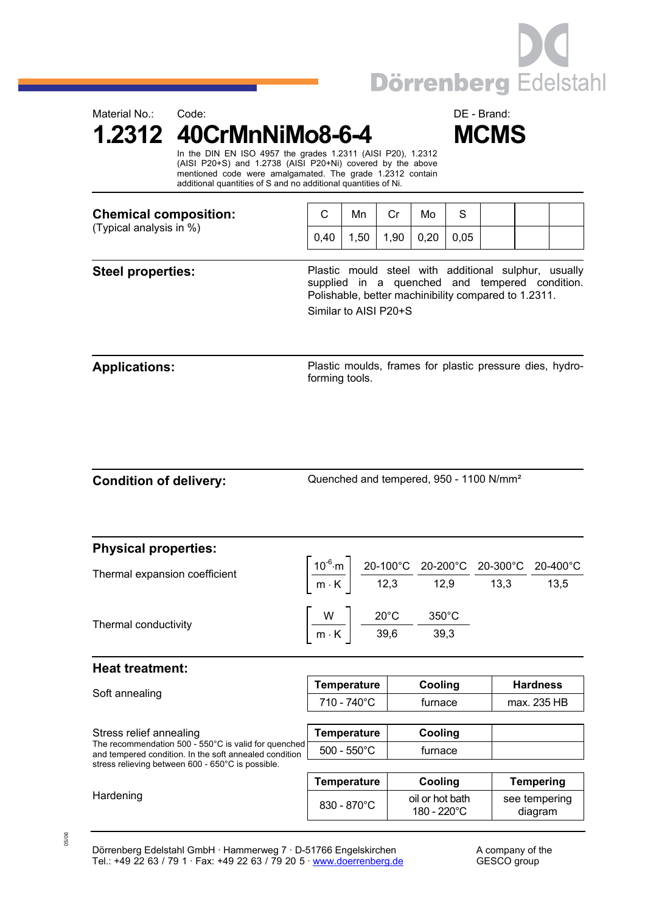

**1.2312 40CrMnNiMo8-6-4 MCMS** 



 In the DIN EN ISO 4957 the grades 1.2311 (AISI P20), 1.2312 (AISI P20+S) and 1.2738 (AISI P20+Ni) covered by the above mentioned code were amalgamated. The grade 1.2312 contain additional quantities of S and no additional quantities of Ni.

| <b>Chemical composition:</b><br>(Typical analysis in %) |      | Mn   |      | Mo   |      |  |  |
|---------------------------------------------------------|------|------|------|------|------|--|--|
|                                                         | 0,40 | 1.50 | 1,90 | 0,20 | 0.05 |  |  |

**Steel properties: Plastic mould steel with additional sulphur, usually** supplied in a quenched and tempered condition. Polishable, better machinibility compared to 1.2311. Similar to AISI P20+S

**Applications:** Plastic moulds, frames for plastic pressure dies, hydroforming tools.

Condition of delivery: Quenched and tempered, 950 - 1100 N/mm<sup>2</sup>

| <b>Physical properties:</b>                                                                                                               |                                                                                                                                                                                                      |  |                                 |                  |                               |  |
|-------------------------------------------------------------------------------------------------------------------------------------------|------------------------------------------------------------------------------------------------------------------------------------------------------------------------------------------------------|--|---------------------------------|------------------|-------------------------------|--|
| Thermal expansion coefficient                                                                                                             | $\left[\frac{10^{-6} \cdot m}{m \cdot K}\right] \cdot \frac{20 - 100^{\circ}C}{12.3} \cdot \frac{20 - 200^{\circ}C}{12.9} \cdot \frac{20 - 300^{\circ}C}{13.3} \cdot \frac{20 - 400^{\circ}C}{13.5}$ |  |                                 |                  |                               |  |
|                                                                                                                                           |                                                                                                                                                                                                      |  |                                 |                  |                               |  |
| Thermal conductivity                                                                                                                      |                                                                                                                                                                                                      |  | $350^{\circ}$ C                 |                  |                               |  |
|                                                                                                                                           | $\left \frac{W}{m\cdot K}\right  \frac{20^{\circ}C}{39,6} - \frac{350^{\circ}C}{39,3}$                                                                                                               |  |                                 |                  |                               |  |
| <b>Heat treatment:</b>                                                                                                                    |                                                                                                                                                                                                      |  |                                 |                  |                               |  |
| Soft annealing                                                                                                                            | <b>Temperature</b>                                                                                                                                                                                   |  | Cooling                         | <b>Hardness</b>  |                               |  |
|                                                                                                                                           | 710 - 740°C                                                                                                                                                                                          |  | furnace                         |                  | max. 235 HB                   |  |
|                                                                                                                                           |                                                                                                                                                                                                      |  |                                 |                  |                               |  |
| Stress relief annealing<br>The recommendation 500 - 550°C is valid for quenched<br>and tempered condition. In the soft annealed condition | Temperature                                                                                                                                                                                          |  | Cooling                         |                  |                               |  |
|                                                                                                                                           | $500 - 550^{\circ}$ C                                                                                                                                                                                |  | furnace                         |                  |                               |  |
| stress relieving between 600 - 650°C is possible.                                                                                         |                                                                                                                                                                                                      |  |                                 |                  |                               |  |
| Hardening                                                                                                                                 | Temperature                                                                                                                                                                                          |  | Cooling                         | <b>Tempering</b> |                               |  |
|                                                                                                                                           | 830 - 870°C                                                                                                                                                                                          |  | oil or hot bath<br>$100 - 2000$ |                  | see tempering<br>alia a wa wa |  |

see tempering diagram

180 - 220°C